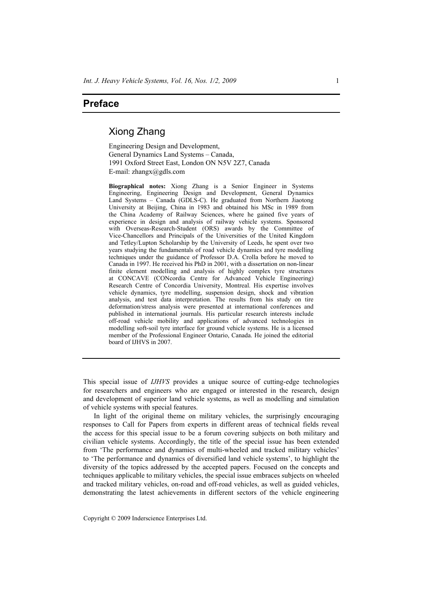## **Preface**

## Xiong Zhang

Engineering Design and Development, General Dynamics Land Systems – Canada, 1991 Oxford Street East, London ON N5V 2Z7, Canada E-mail: zhangx@gdls.com

**Biographical notes:** Xiong Zhang is a Senior Engineer in Systems Engineering, Engineering Design and Development, General Dynamics Land Systems – Canada (GDLS-C). He graduated from Northern Jiaotong University at Beijing, China in 1983 and obtained his MSc in 1989 from the China Academy of Railway Sciences, where he gained five years of experience in design and analysis of railway vehicle systems. Sponsored with Overseas-Research-Student (ORS) awards by the Committee of Vice-Chancellors and Principals of the Universities of the United Kingdom and Tetley/Lupton Scholarship by the University of Leeds, he spent over two years studying the fundamentals of road vehicle dynamics and tyre modelling techniques under the guidance of Professor D.A. Crolla before he moved to Canada in 1997. He received his PhD in 2001, with a dissertation on non-linear finite element modelling and analysis of highly complex tyre structures at CONCAVE (CONcordia Centre for Advanced Vehicle Engineering) Research Centre of Concordia University, Montreal. His expertise involves vehicle dynamics, tyre modelling, suspension design, shock and vibration analysis, and test data interpretation. The results from his study on tire deformation/stress analysis were presented at international conferences and published in international journals. His particular research interests include off-road vehicle mobility and applications of advanced technologies in modelling soft-soil tyre interface for ground vehicle systems. He is a licensed member of the Professional Engineer Ontario, Canada. He joined the editorial board of IJHVS in 2007.

This special issue of *IJHVS* provides a unique source of cutting-edge technologies for researchers and engineers who are engaged or interested in the research, design and development of superior land vehicle systems, as well as modelling and simulation of vehicle systems with special features.

In light of the original theme on military vehicles, the surprisingly encouraging responses to Call for Papers from experts in different areas of technical fields reveal the access for this special issue to be a forum covering subjects on both military and civilian vehicle systems. Accordingly, the title of the special issue has been extended from 'The performance and dynamics of multi-wheeled and tracked military vehicles' to 'The performance and dynamics of diversified land vehicle systems', to highlight the diversity of the topics addressed by the accepted papers. Focused on the concepts and techniques applicable to military vehicles, the special issue embraces subjects on wheeled and tracked military vehicles, on-road and off-road vehicles, as well as guided vehicles, demonstrating the latest achievements in different sectors of the vehicle engineering